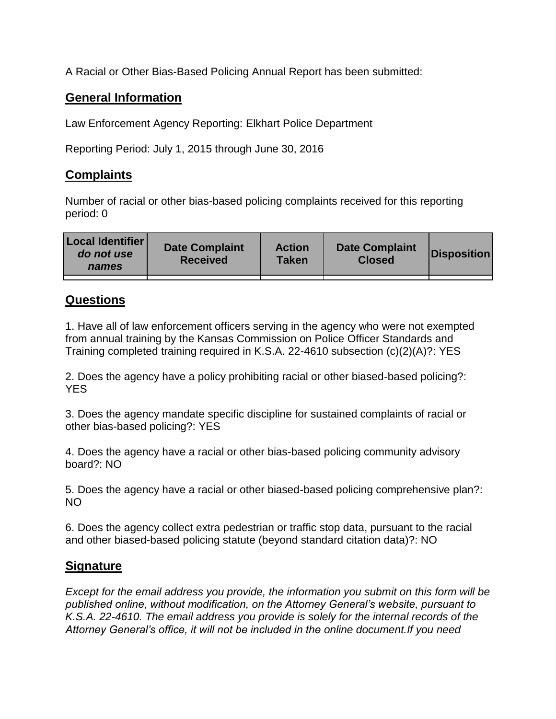A Racial or Other Bias-Based Policing Annual Report has been submitted:

## **General Information**

Law Enforcement Agency Reporting: Elkhart Police Department

Reporting Period: July 1, 2015 through June 30, 2016

## **Complaints**

Number of racial or other bias-based policing complaints received for this reporting period: 0

| <b>Local Identifier</b><br>do not use<br>names | <b>Date Complaint</b><br><b>Received</b> | <b>Action</b><br><b>Taken</b> | <b>Date Complaint</b><br><b>Closed</b> | Disposition |
|------------------------------------------------|------------------------------------------|-------------------------------|----------------------------------------|-------------|
|                                                |                                          |                               |                                        |             |

## **Questions**

1. Have all of law enforcement officers serving in the agency who were not exempted from annual training by the Kansas Commission on Police Officer Standards and Training completed training required in K.S.A. 22-4610 subsection (c)(2)(A)?: YES

2. Does the agency have a policy prohibiting racial or other biased-based policing?: YES

3. Does the agency mandate specific discipline for sustained complaints of racial or other bias-based policing?: YES

4. Does the agency have a racial or other bias-based policing community advisory board?: NO

5. Does the agency have a racial or other biased-based policing comprehensive plan?: NO

6. Does the agency collect extra pedestrian or traffic stop data, pursuant to the racial and other biased-based policing statute (beyond standard citation data)?: NO

## **Signature**

*Except for the email address you provide, the information you submit on this form will be published online, without modification, on the Attorney General's website, pursuant to K.S.A. 22-4610. The email address you provide is solely for the internal records of the Attorney General's office, it will not be included in the online document.If you need*